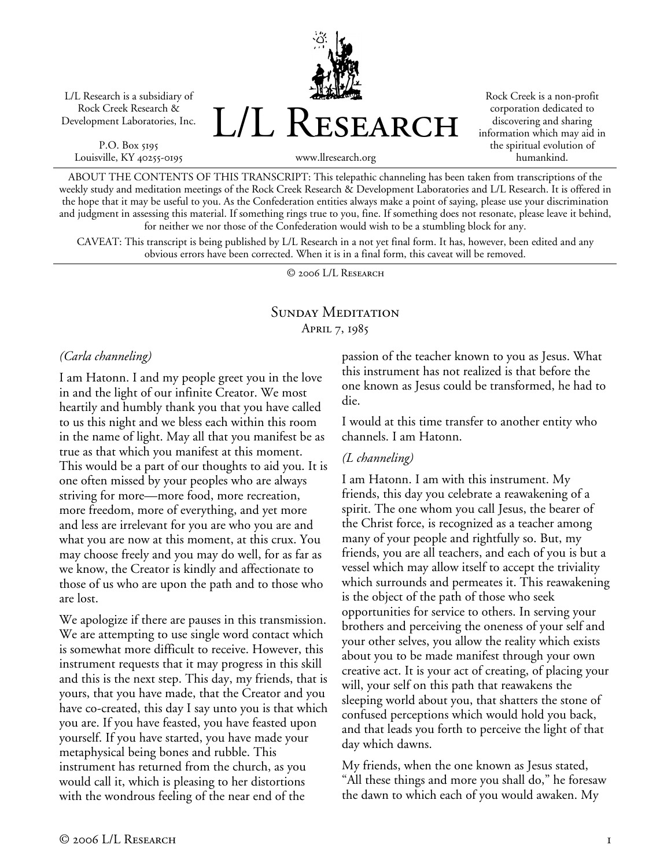L/L Research is a subsidiary of Rock Creek Research & Development Laboratories, Inc.

P.O. Box 5195 Louisville, KY 40255-0195



Rock Creek is a non-profit corporation dedicated to discovering and sharing information which may aid in the spiritual evolution of humankind.

www.llresearch.org

ABOUT THE CONTENTS OF THIS TRANSCRIPT: This telepathic channeling has been taken from transcriptions of the weekly study and meditation meetings of the Rock Creek Research & Development Laboratories and L/L Research. It is offered in the hope that it may be useful to you. As the Confederation entities always make a point of saying, please use your discrimination and judgment in assessing this material. If something rings true to you, fine. If something does not resonate, please leave it behind, for neither we nor those of the Confederation would wish to be a stumbling block for any.

CAVEAT: This transcript is being published by L/L Research in a not yet final form. It has, however, been edited and any obvious errors have been corrected. When it is in a final form, this caveat will be removed.

© 2006 L/L Research

## SUNDAY MEDITATION April 7, 1985

#### *(Carla channeling)*

I am Hatonn. I and my people greet you in the love in and the light of our infinite Creator. We most heartily and humbly thank you that you have called to us this night and we bless each within this room in the name of light. May all that you manifest be as true as that which you manifest at this moment. This would be a part of our thoughts to aid you. It is one often missed by your peoples who are always striving for more—more food, more recreation, more freedom, more of everything, and yet more and less are irrelevant for you are who you are and what you are now at this moment, at this crux. You may choose freely and you may do well, for as far as we know, the Creator is kindly and affectionate to those of us who are upon the path and to those who are lost.

We apologize if there are pauses in this transmission. We are attempting to use single word contact which is somewhat more difficult to receive. However, this instrument requests that it may progress in this skill and this is the next step. This day, my friends, that is yours, that you have made, that the Creator and you have co-created, this day I say unto you is that which you are. If you have feasted, you have feasted upon yourself. If you have started, you have made your metaphysical being bones and rubble. This instrument has returned from the church, as you would call it, which is pleasing to her distortions with the wondrous feeling of the near end of the

passion of the teacher known to you as Jesus. What this instrument has not realized is that before the one known as Jesus could be transformed, he had to die.

I would at this time transfer to another entity who channels. I am Hatonn.

#### *(L channeling)*

I am Hatonn. I am with this instrument. My friends, this day you celebrate a reawakening of a spirit. The one whom you call Jesus, the bearer of the Christ force, is recognized as a teacher among many of your people and rightfully so. But, my friends, you are all teachers, and each of you is but a vessel which may allow itself to accept the triviality which surrounds and permeates it. This reawakening is the object of the path of those who seek opportunities for service to others. In serving your brothers and perceiving the oneness of your self and your other selves, you allow the reality which exists about you to be made manifest through your own creative act. It is your act of creating, of placing your will, your self on this path that reawakens the sleeping world about you, that shatters the stone of confused perceptions which would hold you back, and that leads you forth to perceive the light of that day which dawns.

My friends, when the one known as Jesus stated, "All these things and more you shall do," he foresaw the dawn to which each of you would awaken. My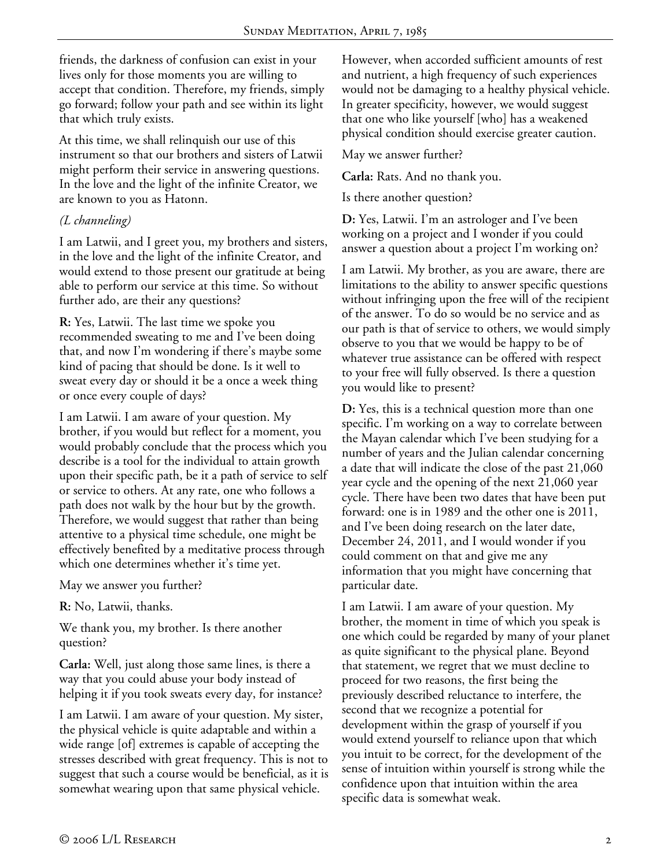friends, the darkness of confusion can exist in your lives only for those moments you are willing to accept that condition. Therefore, my friends, simply go forward; follow your path and see within its light that which truly exists.

At this time, we shall relinquish our use of this instrument so that our brothers and sisters of Latwii might perform their service in answering questions. In the love and the light of the infinite Creator, we are known to you as Hatonn.

## *(L channeling)*

I am Latwii, and I greet you, my brothers and sisters, in the love and the light of the infinite Creator, and would extend to those present our gratitude at being able to perform our service at this time. So without further ado, are their any questions?

**R:** Yes, Latwii. The last time we spoke you recommended sweating to me and I've been doing that, and now I'm wondering if there's maybe some kind of pacing that should be done. Is it well to sweat every day or should it be a once a week thing or once every couple of days?

I am Latwii. I am aware of your question. My brother, if you would but reflect for a moment, you would probably conclude that the process which you describe is a tool for the individual to attain growth upon their specific path, be it a path of service to self or service to others. At any rate, one who follows a path does not walk by the hour but by the growth. Therefore, we would suggest that rather than being attentive to a physical time schedule, one might be effectively benefited by a meditative process through which one determines whether it's time yet.

May we answer you further?

**R:** No, Latwii, thanks.

We thank you, my brother. Is there another question?

**Carla:** Well, just along those same lines, is there a way that you could abuse your body instead of helping it if you took sweats every day, for instance?

I am Latwii. I am aware of your question. My sister, the physical vehicle is quite adaptable and within a wide range [of] extremes is capable of accepting the stresses described with great frequency. This is not to suggest that such a course would be beneficial, as it is somewhat wearing upon that same physical vehicle.

However, when accorded sufficient amounts of rest and nutrient, a high frequency of such experiences would not be damaging to a healthy physical vehicle. In greater specificity, however, we would suggest that one who like yourself [who] has a weakened physical condition should exercise greater caution.

May we answer further?

**Carla:** Rats. And no thank you.

Is there another question?

**D:** Yes, Latwii. I'm an astrologer and I've been working on a project and I wonder if you could answer a question about a project I'm working on?

I am Latwii. My brother, as you are aware, there are limitations to the ability to answer specific questions without infringing upon the free will of the recipient of the answer. To do so would be no service and as our path is that of service to others, we would simply observe to you that we would be happy to be of whatever true assistance can be offered with respect to your free will fully observed. Is there a question you would like to present?

**D:** Yes, this is a technical question more than one specific. I'm working on a way to correlate between the Mayan calendar which I've been studying for a number of years and the Julian calendar concerning a date that will indicate the close of the past 21,060 year cycle and the opening of the next 21,060 year cycle. There have been two dates that have been put forward: one is in 1989 and the other one is 2011, and I've been doing research on the later date, December 24, 2011, and I would wonder if you could comment on that and give me any information that you might have concerning that particular date.

I am Latwii. I am aware of your question. My brother, the moment in time of which you speak is one which could be regarded by many of your planet as quite significant to the physical plane. Beyond that statement, we regret that we must decline to proceed for two reasons, the first being the previously described reluctance to interfere, the second that we recognize a potential for development within the grasp of yourself if you would extend yourself to reliance upon that which you intuit to be correct, for the development of the sense of intuition within yourself is strong while the confidence upon that intuition within the area specific data is somewhat weak.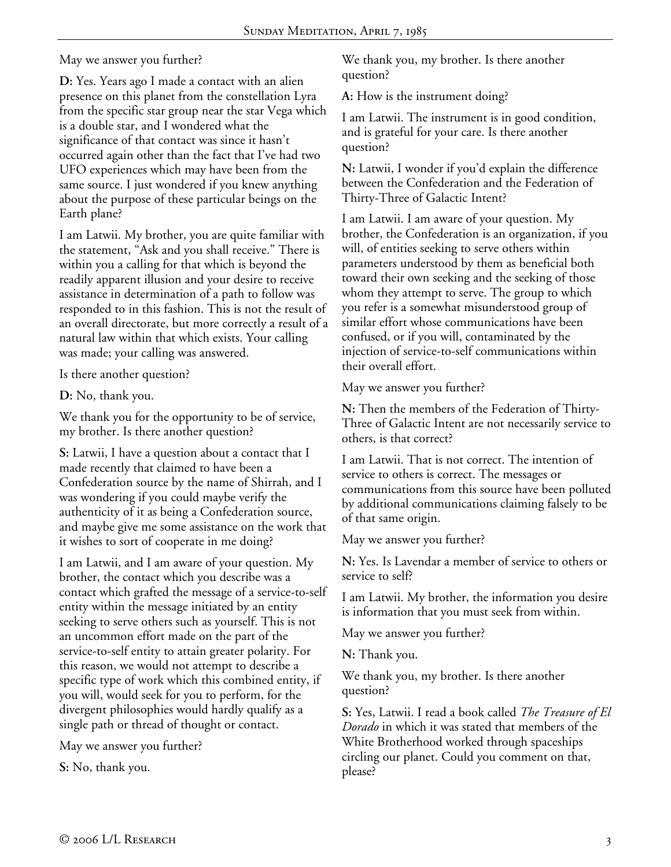May we answer you further?

**D:** Yes. Years ago I made a contact with an alien presence on this planet from the constellation Lyra from the specific star group near the star Vega which is a double star, and I wondered what the significance of that contact was since it hasn't occurred again other than the fact that I've had two UFO experiences which may have been from the same source. I just wondered if you knew anything about the purpose of these particular beings on the Earth plane?

I am Latwii. My brother, you are quite familiar with the statement, "Ask and you shall receive." There is within you a calling for that which is beyond the readily apparent illusion and your desire to receive assistance in determination of a path to follow was responded to in this fashion. This is not the result of an overall directorate, but more correctly a result of a natural law within that which exists. Your calling was made; your calling was answered.

Is there another question?

**D:** No, thank you.

We thank you for the opportunity to be of service, my brother. Is there another question?

**S:** Latwii, I have a question about a contact that I made recently that claimed to have been a Confederation source by the name of Shirrah, and I was wondering if you could maybe verify the authenticity of it as being a Confederation source, and maybe give me some assistance on the work that it wishes to sort of cooperate in me doing?

I am Latwii, and I am aware of your question. My brother, the contact which you describe was a contact which grafted the message of a service-to-self entity within the message initiated by an entity seeking to serve others such as yourself. This is not an uncommon effort made on the part of the service-to-self entity to attain greater polarity. For this reason, we would not attempt to describe a specific type of work which this combined entity, if you will, would seek for you to perform, for the divergent philosophies would hardly qualify as a single path or thread of thought or contact.

May we answer you further?

**S:** No, thank you.

We thank you, my brother. Is there another question?

**A:** How is the instrument doing?

I am Latwii. The instrument is in good condition, and is grateful for your care. Is there another question?

**N:** Latwii, I wonder if you'd explain the difference between the Confederation and the Federation of Thirty-Three of Galactic Intent?

I am Latwii. I am aware of your question. My brother, the Confederation is an organization, if you will, of entities seeking to serve others within parameters understood by them as beneficial both toward their own seeking and the seeking of those whom they attempt to serve. The group to which you refer is a somewhat misunderstood group of similar effort whose communications have been confused, or if you will, contaminated by the injection of service-to-self communications within their overall effort.

May we answer you further?

**N:** Then the members of the Federation of Thirty-Three of Galactic Intent are not necessarily service to others, is that correct?

I am Latwii. That is not correct. The intention of service to others is correct. The messages or communications from this source have been polluted by additional communications claiming falsely to be of that same origin.

May we answer you further?

**N:** Yes. Is Lavendar a member of service to others or service to self?

I am Latwii. My brother, the information you desire is information that you must seek from within.

May we answer you further?

**N:** Thank you.

We thank you, my brother. Is there another question?

**S:** Yes, Latwii. I read a book called *The Treasure of El Dorado* in which it was stated that members of the White Brotherhood worked through spaceships circling our planet. Could you comment on that, please?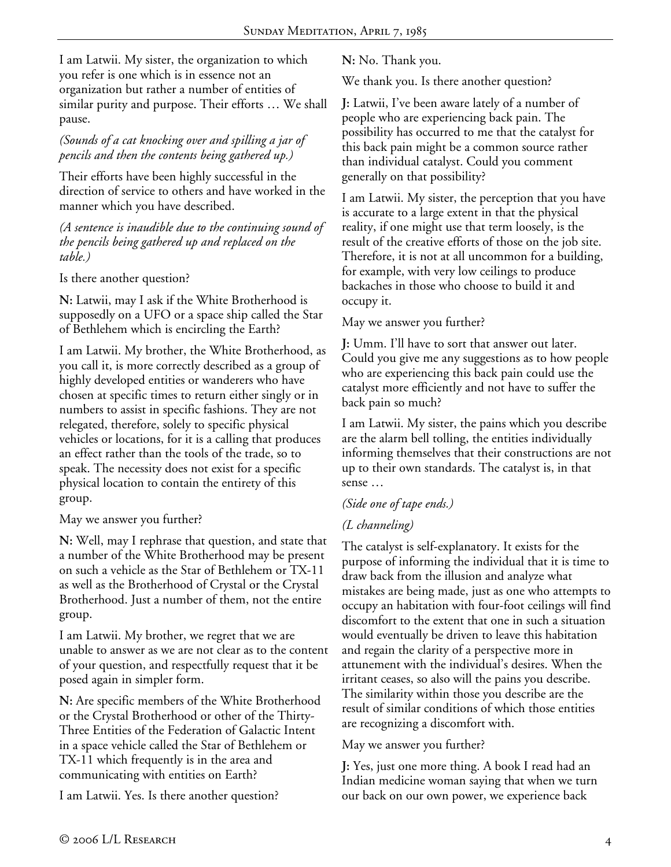I am Latwii. My sister, the organization to which you refer is one which is in essence not an organization but rather a number of entities of similar purity and purpose. Their efforts … We shall pause.

*(Sounds of a cat knocking over and spilling a jar of pencils and then the contents being gathered up.)* 

Their efforts have been highly successful in the direction of service to others and have worked in the manner which you have described.

*(A sentence is inaudible due to the continuing sound of the pencils being gathered up and replaced on the table.)* 

Is there another question?

**N:** Latwii, may I ask if the White Brotherhood is supposedly on a UFO or a space ship called the Star of Bethlehem which is encircling the Earth?

I am Latwii. My brother, the White Brotherhood, as you call it, is more correctly described as a group of highly developed entities or wanderers who have chosen at specific times to return either singly or in numbers to assist in specific fashions. They are not relegated, therefore, solely to specific physical vehicles or locations, for it is a calling that produces an effect rather than the tools of the trade, so to speak. The necessity does not exist for a specific physical location to contain the entirety of this group.

May we answer you further?

**N:** Well, may I rephrase that question, and state that a number of the White Brotherhood may be present on such a vehicle as the Star of Bethlehem or TX-11 as well as the Brotherhood of Crystal or the Crystal Brotherhood. Just a number of them, not the entire group.

I am Latwii. My brother, we regret that we are unable to answer as we are not clear as to the content of your question, and respectfully request that it be posed again in simpler form.

**N:** Are specific members of the White Brotherhood or the Crystal Brotherhood or other of the Thirty-Three Entities of the Federation of Galactic Intent in a space vehicle called the Star of Bethlehem or TX-11 which frequently is in the area and communicating with entities on Earth?

I am Latwii. Yes. Is there another question?

**N:** No. Thank you.

We thank you. Is there another question?

**J:** Latwii, I've been aware lately of a number of people who are experiencing back pain. The possibility has occurred to me that the catalyst for this back pain might be a common source rather than individual catalyst. Could you comment generally on that possibility?

I am Latwii. My sister, the perception that you have is accurate to a large extent in that the physical reality, if one might use that term loosely, is the result of the creative efforts of those on the job site. Therefore, it is not at all uncommon for a building, for example, with very low ceilings to produce backaches in those who choose to build it and occupy it.

May we answer you further?

**J:** Umm. I'll have to sort that answer out later. Could you give me any suggestions as to how people who are experiencing this back pain could use the catalyst more efficiently and not have to suffer the back pain so much?

I am Latwii. My sister, the pains which you describe are the alarm bell tolling, the entities individually informing themselves that their constructions are not up to their own standards. The catalyst is, in that sense …

# *(Side one of tape ends.)*

# *(L channeling)*

The catalyst is self-explanatory. It exists for the purpose of informing the individual that it is time to draw back from the illusion and analyze what mistakes are being made, just as one who attempts to occupy an habitation with four-foot ceilings will find discomfort to the extent that one in such a situation would eventually be driven to leave this habitation and regain the clarity of a perspective more in attunement with the individual's desires. When the irritant ceases, so also will the pains you describe. The similarity within those you describe are the result of similar conditions of which those entities are recognizing a discomfort with.

May we answer you further?

**J:** Yes, just one more thing. A book I read had an Indian medicine woman saying that when we turn our back on our own power, we experience back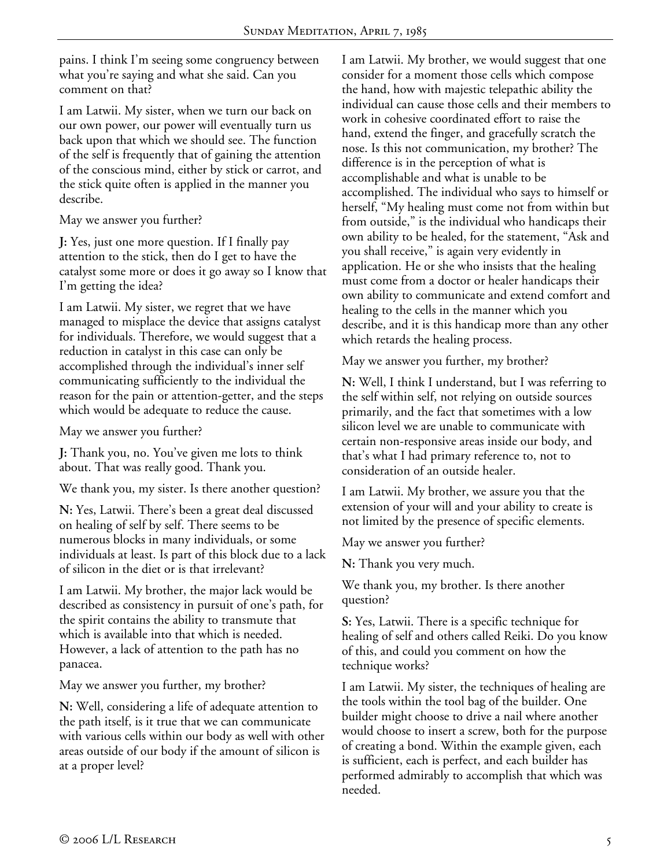pains. I think I'm seeing some congruency between what you're saying and what she said. Can you comment on that?

I am Latwii. My sister, when we turn our back on our own power, our power will eventually turn us back upon that which we should see. The function of the self is frequently that of gaining the attention of the conscious mind, either by stick or carrot, and the stick quite often is applied in the manner you describe.

May we answer you further?

**J:** Yes, just one more question. If I finally pay attention to the stick, then do I get to have the catalyst some more or does it go away so I know that I'm getting the idea?

I am Latwii. My sister, we regret that we have managed to misplace the device that assigns catalyst for individuals. Therefore, we would suggest that a reduction in catalyst in this case can only be accomplished through the individual's inner self communicating sufficiently to the individual the reason for the pain or attention-getter, and the steps which would be adequate to reduce the cause.

May we answer you further?

**J:** Thank you, no. You've given me lots to think about. That was really good. Thank you.

We thank you, my sister. Is there another question?

**N:** Yes, Latwii. There's been a great deal discussed on healing of self by self. There seems to be numerous blocks in many individuals, or some individuals at least. Is part of this block due to a lack of silicon in the diet or is that irrelevant?

I am Latwii. My brother, the major lack would be described as consistency in pursuit of one's path, for the spirit contains the ability to transmute that which is available into that which is needed. However, a lack of attention to the path has no panacea.

May we answer you further, my brother?

**N:** Well, considering a life of adequate attention to the path itself, is it true that we can communicate with various cells within our body as well with other areas outside of our body if the amount of silicon is at a proper level?

I am Latwii. My brother, we would suggest that one consider for a moment those cells which compose the hand, how with majestic telepathic ability the individual can cause those cells and their members to work in cohesive coordinated effort to raise the hand, extend the finger, and gracefully scratch the nose. Is this not communication, my brother? The difference is in the perception of what is accomplishable and what is unable to be accomplished. The individual who says to himself or herself, "My healing must come not from within but from outside," is the individual who handicaps their own ability to be healed, for the statement, "Ask and you shall receive," is again very evidently in application. He or she who insists that the healing must come from a doctor or healer handicaps their own ability to communicate and extend comfort and healing to the cells in the manner which you describe, and it is this handicap more than any other which retards the healing process.

May we answer you further, my brother?

**N:** Well, I think I understand, but I was referring to the self within self, not relying on outside sources primarily, and the fact that sometimes with a low silicon level we are unable to communicate with certain non-responsive areas inside our body, and that's what I had primary reference to, not to consideration of an outside healer.

I am Latwii. My brother, we assure you that the extension of your will and your ability to create is not limited by the presence of specific elements.

May we answer you further?

**N:** Thank you very much.

We thank you, my brother. Is there another question?

**S:** Yes, Latwii. There is a specific technique for healing of self and others called Reiki. Do you know of this, and could you comment on how the technique works?

I am Latwii. My sister, the techniques of healing are the tools within the tool bag of the builder. One builder might choose to drive a nail where another would choose to insert a screw, both for the purpose of creating a bond. Within the example given, each is sufficient, each is perfect, and each builder has performed admirably to accomplish that which was needed.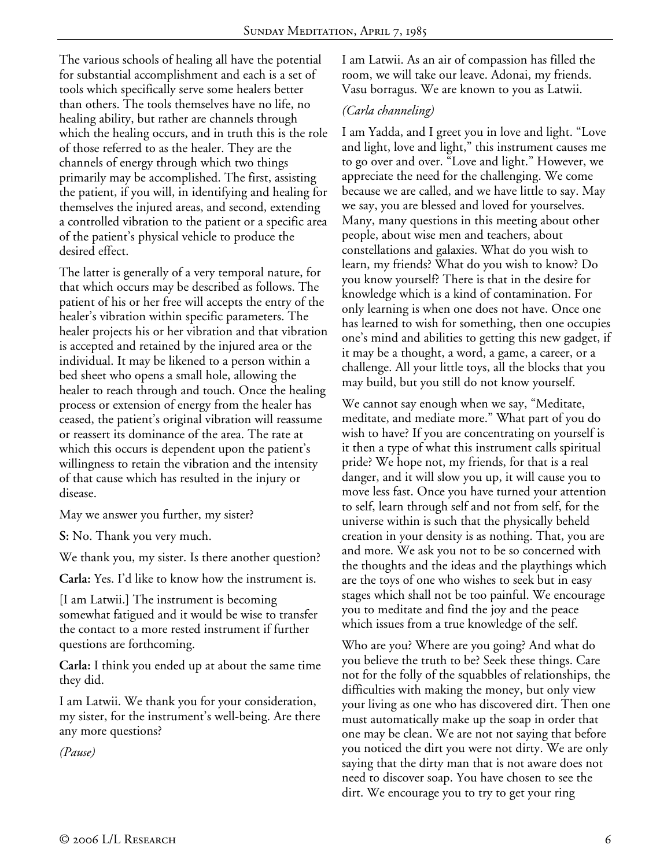The various schools of healing all have the potential for substantial accomplishment and each is a set of tools which specifically serve some healers better than others. The tools themselves have no life, no healing ability, but rather are channels through which the healing occurs, and in truth this is the role of those referred to as the healer. They are the channels of energy through which two things primarily may be accomplished. The first, assisting the patient, if you will, in identifying and healing for themselves the injured areas, and second, extending a controlled vibration to the patient or a specific area of the patient's physical vehicle to produce the desired effect.

The latter is generally of a very temporal nature, for that which occurs may be described as follows. The patient of his or her free will accepts the entry of the healer's vibration within specific parameters. The healer projects his or her vibration and that vibration is accepted and retained by the injured area or the individual. It may be likened to a person within a bed sheet who opens a small hole, allowing the healer to reach through and touch. Once the healing process or extension of energy from the healer has ceased, the patient's original vibration will reassume or reassert its dominance of the area. The rate at which this occurs is dependent upon the patient's willingness to retain the vibration and the intensity of that cause which has resulted in the injury or disease.

May we answer you further, my sister?

**S:** No. Thank you very much.

We thank you, my sister. Is there another question?

**Carla:** Yes. I'd like to know how the instrument is.

[I am Latwii.] The instrument is becoming somewhat fatigued and it would be wise to transfer the contact to a more rested instrument if further questions are forthcoming.

**Carla:** I think you ended up at about the same time they did.

I am Latwii. We thank you for your consideration, my sister, for the instrument's well-being. Are there any more questions?

*(Pause)* 

I am Latwii. As an air of compassion has filled the room, we will take our leave. Adonai, my friends. Vasu borragus. We are known to you as Latwii.

## *(Carla channeling)*

I am Yadda, and I greet you in love and light. "Love and light, love and light," this instrument causes me to go over and over. "Love and light." However, we appreciate the need for the challenging. We come because we are called, and we have little to say. May we say, you are blessed and loved for yourselves. Many, many questions in this meeting about other people, about wise men and teachers, about constellations and galaxies. What do you wish to learn, my friends? What do you wish to know? Do you know yourself? There is that in the desire for knowledge which is a kind of contamination. For only learning is when one does not have. Once one has learned to wish for something, then one occupies one's mind and abilities to getting this new gadget, if it may be a thought, a word, a game, a career, or a challenge. All your little toys, all the blocks that you may build, but you still do not know yourself.

We cannot say enough when we say, "Meditate, meditate, and mediate more." What part of you do wish to have? If you are concentrating on yourself is it then a type of what this instrument calls spiritual pride? We hope not, my friends, for that is a real danger, and it will slow you up, it will cause you to move less fast. Once you have turned your attention to self, learn through self and not from self, for the universe within is such that the physically beheld creation in your density is as nothing. That, you are and more. We ask you not to be so concerned with the thoughts and the ideas and the playthings which are the toys of one who wishes to seek but in easy stages which shall not be too painful. We encourage you to meditate and find the joy and the peace which issues from a true knowledge of the self.

Who are you? Where are you going? And what do you believe the truth to be? Seek these things. Care not for the folly of the squabbles of relationships, the difficulties with making the money, but only view your living as one who has discovered dirt. Then one must automatically make up the soap in order that one may be clean. We are not not saying that before you noticed the dirt you were not dirty. We are only saying that the dirty man that is not aware does not need to discover soap. You have chosen to see the dirt. We encourage you to try to get your ring